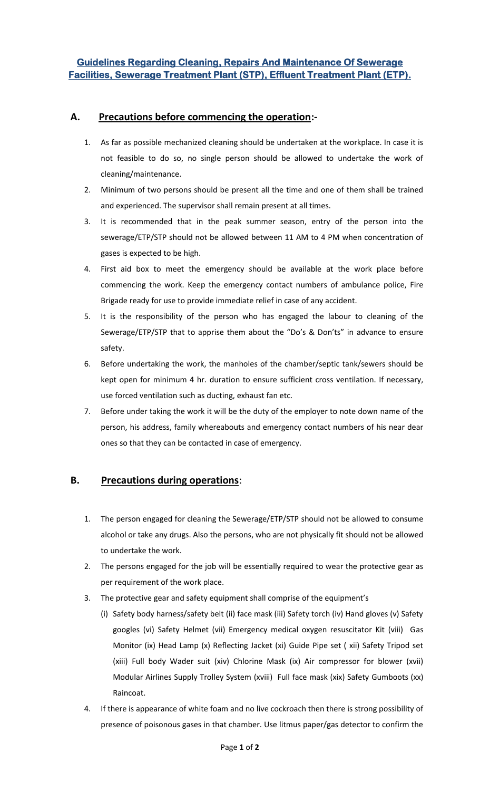## **A. Precautions before commencing the operation:-**

- 1. As far as possible mechanized cleaning should be undertaken at the workplace. In case it is not feasible to do so, no single person should be allowed to undertake the work of cleaning/maintenance.
- 2. Minimum of two persons should be present all the time and one of them shall be trained and experienced. The supervisor shall remain present at all times.
- 3. It is recommended that in the peak summer season, entry of the person into the sewerage/ETP/STP should not be allowed between 11 AM to 4 PM when concentration of gases is expected to be high.
- 4. First aid box to meet the emergency should be available at the work place before commencing the work. Keep the emergency contact numbers of ambulance police, Fire Brigade ready for use to provide immediate relief in case of any accident.
- 5. It is the responsibility of the person who has engaged the labour to cleaning of the Sewerage/ETP/STP that to apprise them about the "Do's & Don'ts" in advance to ensure safety.
- 6. Before undertaking the work, the manholes of the chamber/septic tank/sewers should be kept open for minimum 4 hr. duration to ensure sufficient cross ventilation. If necessary, use forced ventilation such as ducting, exhaust fan etc.
- 7. Before under taking the work it will be the duty of the employer to note down name of the person, his address, family whereabouts and emergency contact numbers of his near dear ones so that they can be contacted in case of emergency.

## **B. Precautions during operations**:

- 1. The person engaged for cleaning the Sewerage/ETP/STP should not be allowed to consume alcohol or take any drugs. Also the persons, who are not physically fit should not be allowed to undertake the work.
- 2. The persons engaged for the job will be essentially required to wear the protective gear as per requirement of the work place.
- 3. The protective gear and safety equipment shall comprise of the equipment's
	- (i) Safety body harness/safety belt (ii) face mask (iii) Safety torch (iv) Hand gloves (v) Safety googles (vi) Safety Helmet (vii) Emergency medical oxygen resuscitator Kit (viii) Gas Monitor (ix) Head Lamp (x) Reflecting Jacket (xi) Guide Pipe set ( xii) Safety Tripod set (xiii) Full body Wader suit (xiv) Chlorine Mask (ix) Air compressor for blower (xvii) Modular Airlines Supply Trolley System (xviii) Full face mask (xix) Safety Gumboots (xx) Raincoat.
- 4. If there is appearance of white foam and no live cockroach then there is strong possibility of presence of poisonous gases in that chamber. Use litmus paper/gas detector to confirm the